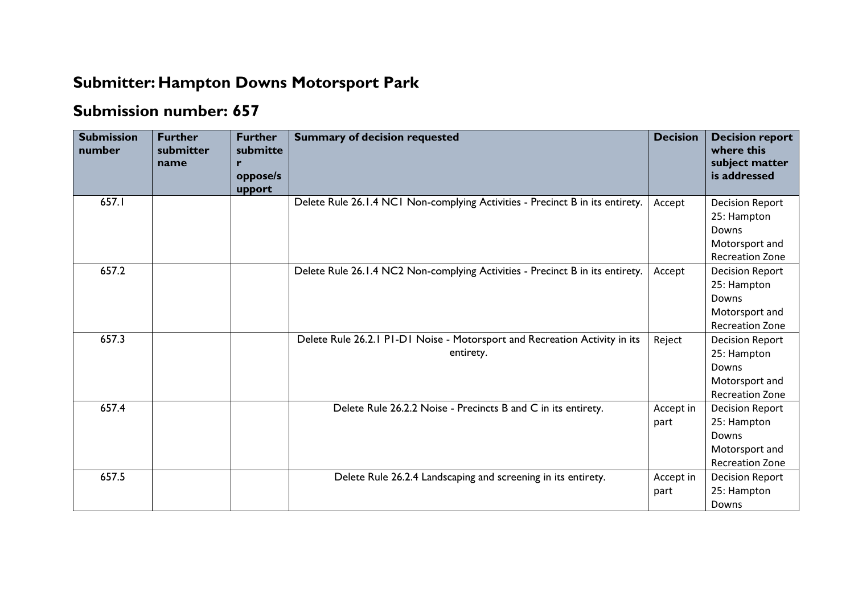## **Submitter: Hampton Downs Motorsport Park**

## **Submission number: 657**

| <b>Submission</b><br>number | <b>Further</b><br>submitter<br>name | <b>Further</b><br>submitte<br>oppose/s<br>upport | <b>Summary of decision requested</b>                                                    | <b>Decision</b>   | <b>Decision report</b><br>where this<br>subject matter<br>is addressed                     |
|-----------------------------|-------------------------------------|--------------------------------------------------|-----------------------------------------------------------------------------------------|-------------------|--------------------------------------------------------------------------------------------|
| 657.I                       |                                     |                                                  | Delete Rule 26.1.4 NC1 Non-complying Activities - Precinct B in its entirety.           | Accept            | <b>Decision Report</b><br>25: Hampton<br>Downs<br>Motorsport and<br><b>Recreation Zone</b> |
| 657.2                       |                                     |                                                  | Delete Rule 26.1.4 NC2 Non-complying Activities - Precinct B in its entirety.           | Accept            | <b>Decision Report</b><br>25: Hampton<br>Downs<br>Motorsport and<br><b>Recreation Zone</b> |
| 657.3                       |                                     |                                                  | Delete Rule 26.2.1 P1-D1 Noise - Motorsport and Recreation Activity in its<br>entirety. | Reject            | <b>Decision Report</b><br>25: Hampton<br>Downs<br>Motorsport and<br><b>Recreation Zone</b> |
| 657.4                       |                                     |                                                  | Delete Rule 26.2.2 Noise - Precincts B and C in its entirety.                           | Accept in<br>part | <b>Decision Report</b><br>25: Hampton<br>Downs<br>Motorsport and<br><b>Recreation Zone</b> |
| 657.5                       |                                     |                                                  | Delete Rule 26.2.4 Landscaping and screening in its entirety.                           | Accept in<br>part | <b>Decision Report</b><br>25: Hampton<br>Downs                                             |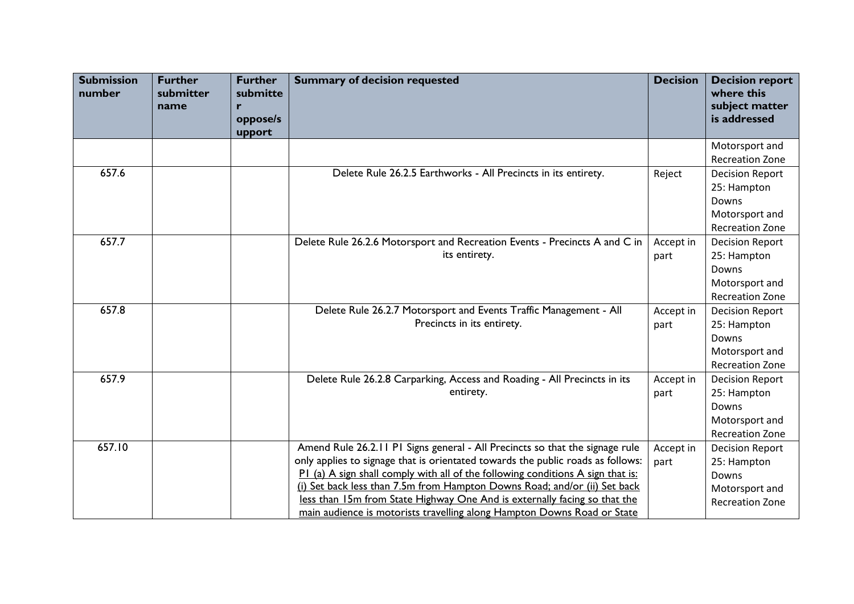| <b>Submission</b><br>number | <b>Further</b><br>submitter<br>name | <b>Further</b><br>submitte<br>r<br>oppose/s<br>upport | <b>Summary of decision requested</b>                                                                                                                                                                                                                                                                                                                                                                                                                                                    | <b>Decision</b>   | <b>Decision report</b><br>where this<br>subject matter<br>is addressed                     |
|-----------------------------|-------------------------------------|-------------------------------------------------------|-----------------------------------------------------------------------------------------------------------------------------------------------------------------------------------------------------------------------------------------------------------------------------------------------------------------------------------------------------------------------------------------------------------------------------------------------------------------------------------------|-------------------|--------------------------------------------------------------------------------------------|
|                             |                                     |                                                       |                                                                                                                                                                                                                                                                                                                                                                                                                                                                                         |                   | Motorsport and<br><b>Recreation Zone</b>                                                   |
| 657.6                       |                                     |                                                       | Delete Rule 26.2.5 Earthworks - All Precincts in its entirety.                                                                                                                                                                                                                                                                                                                                                                                                                          | Reject            | <b>Decision Report</b><br>25: Hampton<br>Downs<br>Motorsport and<br><b>Recreation Zone</b> |
| 657.7                       |                                     |                                                       | Delete Rule 26.2.6 Motorsport and Recreation Events - Precincts A and C in<br>its entirety.                                                                                                                                                                                                                                                                                                                                                                                             | Accept in<br>part | <b>Decision Report</b><br>25: Hampton<br>Downs<br>Motorsport and<br><b>Recreation Zone</b> |
| 657.8                       |                                     |                                                       | Delete Rule 26.2.7 Motorsport and Events Traffic Management - All<br>Precincts in its entirety.                                                                                                                                                                                                                                                                                                                                                                                         | Accept in<br>part | <b>Decision Report</b><br>25: Hampton<br>Downs<br>Motorsport and<br><b>Recreation Zone</b> |
| 657.9                       |                                     |                                                       | Delete Rule 26.2.8 Carparking, Access and Roading - All Precincts in its<br>entirety.                                                                                                                                                                                                                                                                                                                                                                                                   | Accept in<br>part | <b>Decision Report</b><br>25: Hampton<br>Downs<br>Motorsport and<br><b>Recreation Zone</b> |
| 657.10                      |                                     |                                                       | Amend Rule 26.2.11 P1 Signs general - All Precincts so that the signage rule<br>only applies to signage that is orientated towards the public roads as follows:<br>P1 (a) A sign shall comply with all of the following conditions A sign that is:<br>(i) Set back less than 7.5m from Hampton Downs Road; and/or (ii) Set back<br>less than 15m from State Highway One And is externally facing so that the<br>main audience is motorists travelling along Hampton Downs Road or State | Accept in<br>part | <b>Decision Report</b><br>25: Hampton<br>Downs<br>Motorsport and<br><b>Recreation Zone</b> |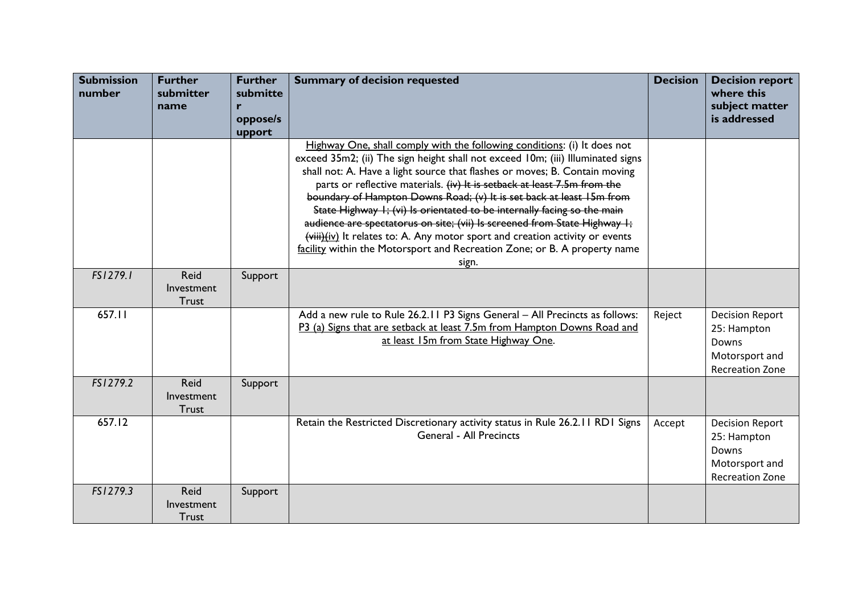| <b>Submission</b><br>number | <b>Further</b><br>submitter<br>name       | <b>Further</b><br>submitte<br>r<br>oppose/s<br>upport | <b>Summary of decision requested</b>                                                                                                                                                                                                                                                                                                                                                                                                                                                                                                                                                                                                                                                                                        | <b>Decision</b> | <b>Decision report</b><br>where this<br>subject matter<br>is addressed                     |
|-----------------------------|-------------------------------------------|-------------------------------------------------------|-----------------------------------------------------------------------------------------------------------------------------------------------------------------------------------------------------------------------------------------------------------------------------------------------------------------------------------------------------------------------------------------------------------------------------------------------------------------------------------------------------------------------------------------------------------------------------------------------------------------------------------------------------------------------------------------------------------------------------|-----------------|--------------------------------------------------------------------------------------------|
|                             |                                           |                                                       | Highway One, shall comply with the following conditions: (i) It does not<br>exceed 35m2; (ii) The sign height shall not exceed 10m; (iii) Illuminated signs<br>shall not: A. Have a light source that flashes or moves; B. Contain moving<br>parts or reflective materials. (iv) It is setback at least 7.5m from the<br>boundary of Hampton Downs Road; (v) It is set back at least 15m from<br>State Highway I; (vi) Is orientated to be internally facing so the main<br>audience are spectatorus on site; (vii) Is screened from State Highway I;<br>(viii)(iv) It relates to: A. Any motor sport and creation activity or events<br>facility within the Motorsport and Recreation Zone; or B. A property name<br>sign. |                 |                                                                                            |
| FS1279.1                    | Reid<br>Investment<br>Trust               | Support                                               |                                                                                                                                                                                                                                                                                                                                                                                                                                                                                                                                                                                                                                                                                                                             |                 |                                                                                            |
| 657.11                      |                                           |                                                       | Add a new rule to Rule 26.2.11 P3 Signs General - All Precincts as follows:<br>P3 (a) Signs that are setback at least 7.5m from Hampton Downs Road and<br>at least 15m from State Highway One.                                                                                                                                                                                                                                                                                                                                                                                                                                                                                                                              | Reject          | <b>Decision Report</b><br>25: Hampton<br>Downs<br>Motorsport and<br><b>Recreation Zone</b> |
| FS1279.2                    | <b>Reid</b><br>Investment<br><b>Trust</b> | Support                                               |                                                                                                                                                                                                                                                                                                                                                                                                                                                                                                                                                                                                                                                                                                                             |                 |                                                                                            |
| 657.12                      |                                           |                                                       | Retain the Restricted Discretionary activity status in Rule 26.2.11 RD1 Signs<br><b>General - All Precincts</b>                                                                                                                                                                                                                                                                                                                                                                                                                                                                                                                                                                                                             | Accept          | <b>Decision Report</b><br>25: Hampton<br>Downs<br>Motorsport and<br><b>Recreation Zone</b> |
| FS1279.3                    | <b>Reid</b><br>Investment<br><b>Trust</b> | Support                                               |                                                                                                                                                                                                                                                                                                                                                                                                                                                                                                                                                                                                                                                                                                                             |                 |                                                                                            |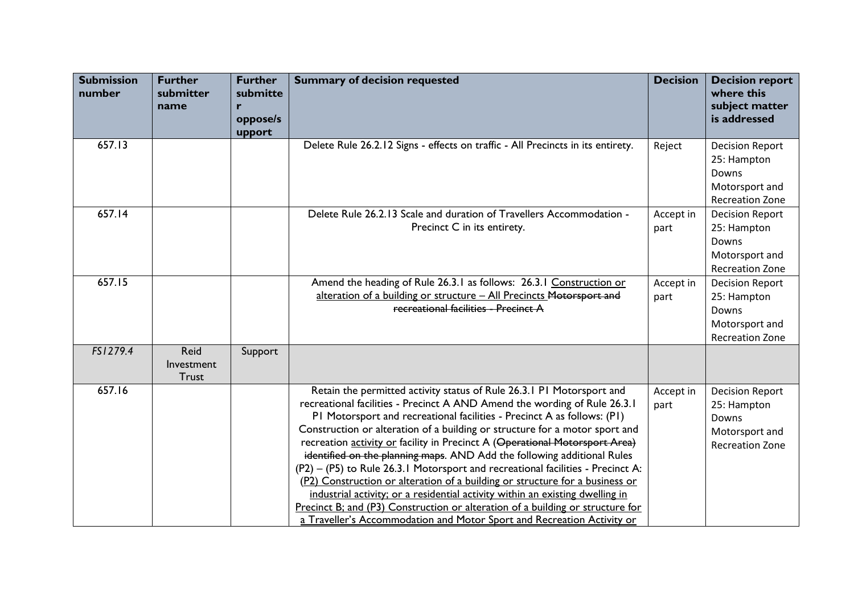| <b>Submission</b><br>number | <b>Further</b><br>submitter<br>name | <b>Further</b><br>submitte<br>r<br>oppose/s<br>upport | <b>Summary of decision requested</b>                                                                                                                                                                                                                                                                                                                                                                                                                                                                                                                                                                                                                                                                                                                                                                                                                                                     | <b>Decision</b>   | <b>Decision report</b><br>where this<br>subject matter<br>is addressed                     |
|-----------------------------|-------------------------------------|-------------------------------------------------------|------------------------------------------------------------------------------------------------------------------------------------------------------------------------------------------------------------------------------------------------------------------------------------------------------------------------------------------------------------------------------------------------------------------------------------------------------------------------------------------------------------------------------------------------------------------------------------------------------------------------------------------------------------------------------------------------------------------------------------------------------------------------------------------------------------------------------------------------------------------------------------------|-------------------|--------------------------------------------------------------------------------------------|
| 657.13                      |                                     |                                                       | Delete Rule 26.2.12 Signs - effects on traffic - All Precincts in its entirety.                                                                                                                                                                                                                                                                                                                                                                                                                                                                                                                                                                                                                                                                                                                                                                                                          | Reject            | <b>Decision Report</b><br>25: Hampton<br>Downs<br>Motorsport and<br><b>Recreation Zone</b> |
| 657.14                      |                                     |                                                       | Delete Rule 26.2.13 Scale and duration of Travellers Accommodation -<br>Precinct C in its entirety.                                                                                                                                                                                                                                                                                                                                                                                                                                                                                                                                                                                                                                                                                                                                                                                      | Accept in<br>part | <b>Decision Report</b><br>25: Hampton<br>Downs<br>Motorsport and<br><b>Recreation Zone</b> |
| 657.15                      |                                     |                                                       | Amend the heading of Rule 26.3.1 as follows: 26.3.1 Construction or<br>alteration of a building or structure - All Precincts Motorsport and<br>recreational facilities - Precinct A                                                                                                                                                                                                                                                                                                                                                                                                                                                                                                                                                                                                                                                                                                      | Accept in<br>part | <b>Decision Report</b><br>25: Hampton<br>Downs<br>Motorsport and<br><b>Recreation Zone</b> |
| FS1279.4                    | Reid<br>Investment<br>Trust         | Support                                               |                                                                                                                                                                                                                                                                                                                                                                                                                                                                                                                                                                                                                                                                                                                                                                                                                                                                                          |                   |                                                                                            |
| 657.16                      |                                     |                                                       | Retain the permitted activity status of Rule 26.3.1 PI Motorsport and<br>recreational facilities - Precinct A AND Amend the wording of Rule 26.3.1<br>PI Motorsport and recreational facilities - Precinct A as follows: (PI)<br>Construction or alteration of a building or structure for a motor sport and<br>recreation activity or facility in Precinct A (Operational Motorsport Area)<br>identified on the planning maps. AND Add the following additional Rules<br>$(P2) - (P5)$ to Rule 26.3.1 Motorsport and recreational facilities - Precinct A:<br>(P2) Construction or alteration of a building or structure for a business or<br>industrial activity; or a residential activity within an existing dwelling in<br>Precinct B; and (P3) Construction or alteration of a building or structure for<br>a Traveller's Accommodation and Motor Sport and Recreation Activity or | Accept in<br>part | <b>Decision Report</b><br>25: Hampton<br>Downs<br>Motorsport and<br><b>Recreation Zone</b> |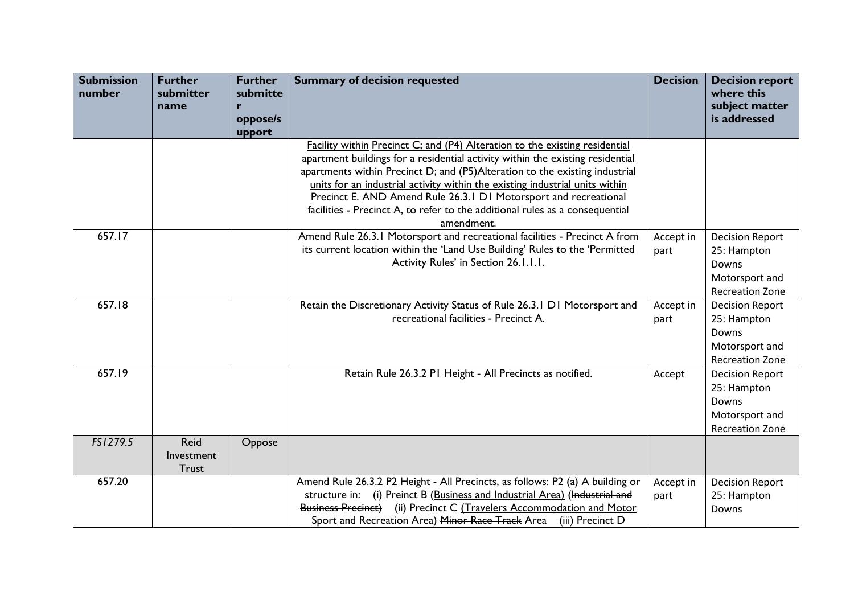| <b>Submission</b><br>number | <b>Further</b><br>submitter<br>name | <b>Further</b><br>submitte<br>$\mathbf{r}$<br>oppose/s<br>upport | <b>Summary of decision requested</b>                                                                                                                                                                                                                                                                                                                                                                                                                                                           | <b>Decision</b>   | <b>Decision report</b><br>where this<br>subject matter<br>is addressed                     |
|-----------------------------|-------------------------------------|------------------------------------------------------------------|------------------------------------------------------------------------------------------------------------------------------------------------------------------------------------------------------------------------------------------------------------------------------------------------------------------------------------------------------------------------------------------------------------------------------------------------------------------------------------------------|-------------------|--------------------------------------------------------------------------------------------|
|                             |                                     |                                                                  | Facility within Precinct C; and (P4) Alteration to the existing residential<br>apartment buildings for a residential activity within the existing residential<br>apartments within Precinct D; and (P5)Alteration to the existing industrial<br>units for an industrial activity within the existing industrial units within<br>Precinct E. AND Amend Rule 26.3.1 D1 Motorsport and recreational<br>facilities - Precinct A, to refer to the additional rules as a consequential<br>amendment. |                   |                                                                                            |
| 657.17                      |                                     |                                                                  | Amend Rule 26.3.1 Motorsport and recreational facilities - Precinct A from<br>its current location within the 'Land Use Building' Rules to the 'Permitted<br>Activity Rules' in Section 26.1.1.1.                                                                                                                                                                                                                                                                                              | Accept in<br>part | <b>Decision Report</b><br>25: Hampton<br>Downs<br>Motorsport and<br><b>Recreation Zone</b> |
| 657.18                      |                                     |                                                                  | Retain the Discretionary Activity Status of Rule 26.3.1 D1 Motorsport and<br>recreational facilities - Precinct A.                                                                                                                                                                                                                                                                                                                                                                             | Accept in<br>part | <b>Decision Report</b><br>25: Hampton<br>Downs<br>Motorsport and<br><b>Recreation Zone</b> |
| 657.19                      |                                     |                                                                  | Retain Rule 26.3.2 PI Height - All Precincts as notified.                                                                                                                                                                                                                                                                                                                                                                                                                                      | Accept            | <b>Decision Report</b><br>25: Hampton<br>Downs<br>Motorsport and<br><b>Recreation Zone</b> |
| FS1279.5                    | Reid<br>Investment<br><b>Trust</b>  | Oppose                                                           |                                                                                                                                                                                                                                                                                                                                                                                                                                                                                                |                   |                                                                                            |
| 657.20                      |                                     |                                                                  | Amend Rule 26.3.2 P2 Height - All Precincts, as follows: P2 (a) A building or<br>structure in: (i) Preinct B (Business and Industrial Area) (Industrial and<br>Business Precinct) (ii) Precinct C (Travelers Accommodation and Motor<br>Sport and Recreation Area) Minor Race Track Area<br>(iii) Precinct D                                                                                                                                                                                   | Accept in<br>part | <b>Decision Report</b><br>25: Hampton<br>Downs                                             |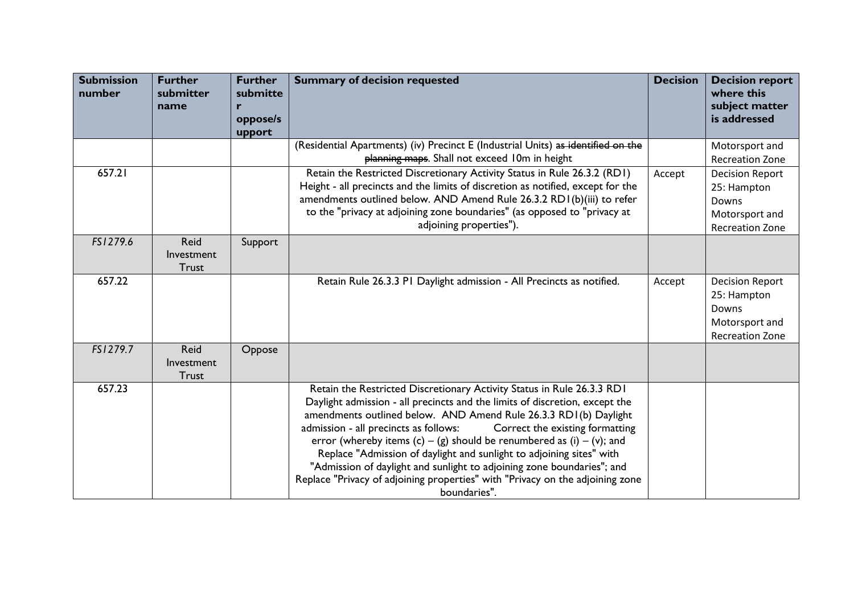| <b>Submission</b><br>number | <b>Further</b><br>submitter<br>name       | <b>Further</b><br>submitte<br>r<br>oppose/s<br>upport | <b>Summary of decision requested</b>                                                                                                                                                                                                                                                                                                                                                                                                                                                                                                                                                                                                    | <b>Decision</b> | <b>Decision report</b><br>where this<br>subject matter<br>is addressed                     |
|-----------------------------|-------------------------------------------|-------------------------------------------------------|-----------------------------------------------------------------------------------------------------------------------------------------------------------------------------------------------------------------------------------------------------------------------------------------------------------------------------------------------------------------------------------------------------------------------------------------------------------------------------------------------------------------------------------------------------------------------------------------------------------------------------------------|-----------------|--------------------------------------------------------------------------------------------|
|                             |                                           |                                                       | (Residential Apartments) (iv) Precinct E (Industrial Units) as identified on the<br>planning maps. Shall not exceed 10m in height                                                                                                                                                                                                                                                                                                                                                                                                                                                                                                       |                 | Motorsport and<br><b>Recreation Zone</b>                                                   |
| 657.21                      |                                           |                                                       | Retain the Restricted Discretionary Activity Status in Rule 26.3.2 (RD1)<br>Height - all precincts and the limits of discretion as notified, except for the<br>amendments outlined below. AND Amend Rule 26.3.2 RD1(b)(iii) to refer<br>to the "privacy at adjoining zone boundaries" (as opposed to "privacy at<br>adjoining properties").                                                                                                                                                                                                                                                                                             | Accept          | <b>Decision Report</b><br>25: Hampton<br>Downs<br>Motorsport and<br><b>Recreation Zone</b> |
| FS1279.6                    | Reid<br>Investment<br><b>Trust</b>        | Support                                               |                                                                                                                                                                                                                                                                                                                                                                                                                                                                                                                                                                                                                                         |                 |                                                                                            |
| 657.22                      |                                           |                                                       | Retain Rule 26.3.3 PI Daylight admission - All Precincts as notified.                                                                                                                                                                                                                                                                                                                                                                                                                                                                                                                                                                   | Accept          | <b>Decision Report</b><br>25: Hampton<br>Downs<br>Motorsport and<br><b>Recreation Zone</b> |
| FS1279.7                    | <b>Reid</b><br>Investment<br><b>Trust</b> | Oppose                                                |                                                                                                                                                                                                                                                                                                                                                                                                                                                                                                                                                                                                                                         |                 |                                                                                            |
| 657.23                      |                                           |                                                       | Retain the Restricted Discretionary Activity Status in Rule 26.3.3 RD1<br>Daylight admission - all precincts and the limits of discretion, except the<br>amendments outlined below. AND Amend Rule 26.3.3 RDI (b) Daylight<br>Correct the existing formatting<br>admission - all precincts as follows:<br>error (whereby items $(c) - (g)$ should be renumbered as $(i) - (v)$ ; and<br>Replace "Admission of daylight and sunlight to adjoining sites" with<br>"Admission of daylight and sunlight to adjoining zone boundaries"; and<br>Replace "Privacy of adjoining properties" with "Privacy on the adjoining zone<br>boundaries". |                 |                                                                                            |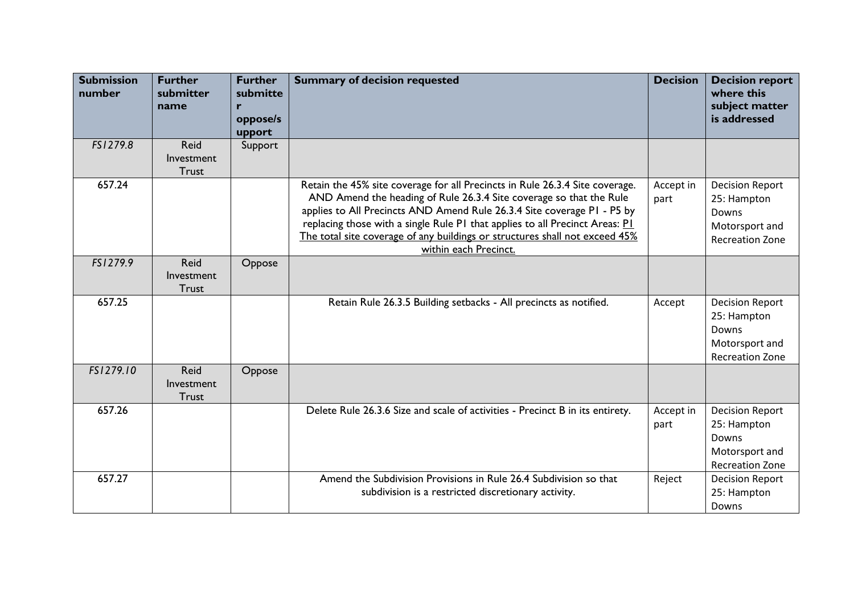| <b>Submission</b><br>number | <b>Further</b><br>submitter<br>name | <b>Further</b><br>submitte<br>r<br>oppose/s<br>upport | <b>Summary of decision requested</b>                                                                                                                                                                                                                                                                                                                                                                                   | <b>Decision</b>   | <b>Decision report</b><br>where this<br>subject matter<br>is addressed                     |
|-----------------------------|-------------------------------------|-------------------------------------------------------|------------------------------------------------------------------------------------------------------------------------------------------------------------------------------------------------------------------------------------------------------------------------------------------------------------------------------------------------------------------------------------------------------------------------|-------------------|--------------------------------------------------------------------------------------------|
| FS1279.8                    | Reid<br>Investment<br><b>Trust</b>  | Support                                               |                                                                                                                                                                                                                                                                                                                                                                                                                        |                   |                                                                                            |
| 657.24                      |                                     |                                                       | Retain the 45% site coverage for all Precincts in Rule 26.3.4 Site coverage.<br>AND Amend the heading of Rule 26.3.4 Site coverage so that the Rule<br>applies to All Precincts AND Amend Rule 26.3.4 Site coverage PI - P5 by<br>replacing those with a single Rule PI that applies to all Precinct Areas: PI<br>The total site coverage of any buildings or structures shall not exceed 45%<br>within each Precinct. | Accept in<br>part | <b>Decision Report</b><br>25: Hampton<br>Downs<br>Motorsport and<br><b>Recreation Zone</b> |
| FS1279.9                    | Reid<br>Investment<br><b>Trust</b>  | Oppose                                                |                                                                                                                                                                                                                                                                                                                                                                                                                        |                   |                                                                                            |
| 657.25                      |                                     |                                                       | Retain Rule 26.3.5 Building setbacks - All precincts as notified.                                                                                                                                                                                                                                                                                                                                                      | Accept            | <b>Decision Report</b><br>25: Hampton<br>Downs<br>Motorsport and<br><b>Recreation Zone</b> |
| FS1279.10                   | Reid<br>Investment<br><b>Trust</b>  | Oppose                                                |                                                                                                                                                                                                                                                                                                                                                                                                                        |                   |                                                                                            |
| 657.26                      |                                     |                                                       | Delete Rule 26.3.6 Size and scale of activities - Precinct B in its entirety.                                                                                                                                                                                                                                                                                                                                          | Accept in<br>part | <b>Decision Report</b><br>25: Hampton<br>Downs<br>Motorsport and<br><b>Recreation Zone</b> |
| 657.27                      |                                     |                                                       | Amend the Subdivision Provisions in Rule 26.4 Subdivision so that<br>subdivision is a restricted discretionary activity.                                                                                                                                                                                                                                                                                               | Reject            | <b>Decision Report</b><br>25: Hampton<br>Downs                                             |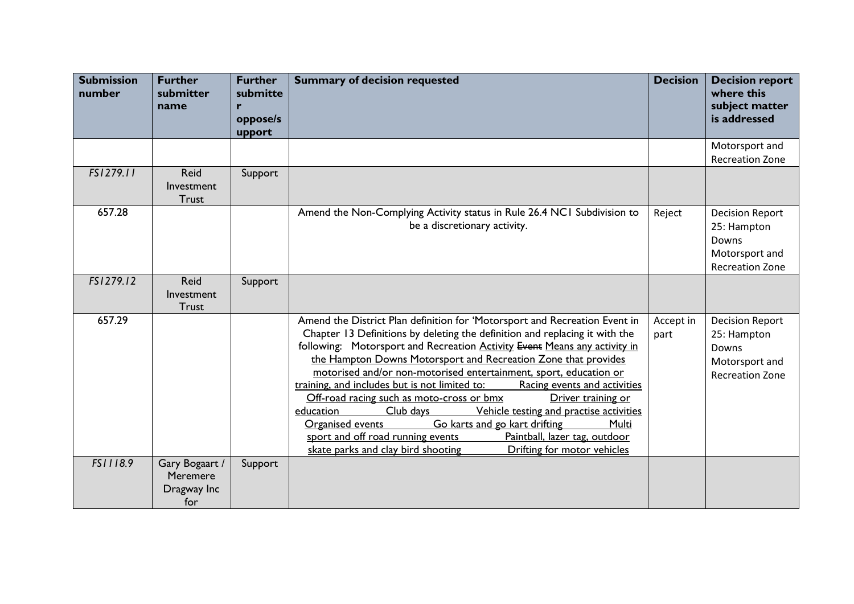| <b>Submission</b><br>number | <b>Further</b><br>submitter<br>name              | <b>Further</b><br>submitte<br>r<br>oppose/s<br>upport | <b>Summary of decision requested</b>                                                                                                                                                                                                                                                                                                                                                                                                                                                                                                                                                                                                                                                                                                                                                                            | <b>Decision</b>   | <b>Decision report</b><br>where this<br>subject matter<br>is addressed                     |
|-----------------------------|--------------------------------------------------|-------------------------------------------------------|-----------------------------------------------------------------------------------------------------------------------------------------------------------------------------------------------------------------------------------------------------------------------------------------------------------------------------------------------------------------------------------------------------------------------------------------------------------------------------------------------------------------------------------------------------------------------------------------------------------------------------------------------------------------------------------------------------------------------------------------------------------------------------------------------------------------|-------------------|--------------------------------------------------------------------------------------------|
|                             |                                                  |                                                       |                                                                                                                                                                                                                                                                                                                                                                                                                                                                                                                                                                                                                                                                                                                                                                                                                 |                   | Motorsport and<br><b>Recreation Zone</b>                                                   |
| FS1279.11                   | <b>Reid</b><br>Investment<br><b>Trust</b>        | Support                                               |                                                                                                                                                                                                                                                                                                                                                                                                                                                                                                                                                                                                                                                                                                                                                                                                                 |                   |                                                                                            |
| 657.28                      |                                                  |                                                       | Amend the Non-Complying Activity status in Rule 26.4 NC1 Subdivision to<br>be a discretionary activity.                                                                                                                                                                                                                                                                                                                                                                                                                                                                                                                                                                                                                                                                                                         | Reject            | <b>Decision Report</b><br>25: Hampton<br>Downs<br>Motorsport and<br><b>Recreation Zone</b> |
| FS1279.12                   | Reid<br>Investment<br><b>Trust</b>               | Support                                               |                                                                                                                                                                                                                                                                                                                                                                                                                                                                                                                                                                                                                                                                                                                                                                                                                 |                   |                                                                                            |
| 657.29                      |                                                  |                                                       | Amend the District Plan definition for 'Motorsport and Recreation Event in<br>Chapter 13 Definitions by deleting the definition and replacing it with the<br>following: Motorsport and Recreation Activity Event Means any activity in<br>the Hampton Downs Motorsport and Recreation Zone that provides<br>motorised and/or non-motorised entertainment, sport, education or<br>training, and includes but is not limited to:<br>Racing events and activities<br>Off-road racing such as moto-cross or bmx<br>Driver training or<br>education<br>Club days<br>Vehicle testing and practise activities<br>Go karts and go kart drifting<br>Organised events<br>Multi<br>Paintball, lazer tag, outdoor<br>sport and off road running events<br>Drifting for motor vehicles<br>skate parks and clay bird shooting | Accept in<br>part | <b>Decision Report</b><br>25: Hampton<br>Downs<br>Motorsport and<br><b>Recreation Zone</b> |
| FS1118.9                    | Gary Bogaart /<br>Meremere<br>Dragway Inc<br>for | Support                                               |                                                                                                                                                                                                                                                                                                                                                                                                                                                                                                                                                                                                                                                                                                                                                                                                                 |                   |                                                                                            |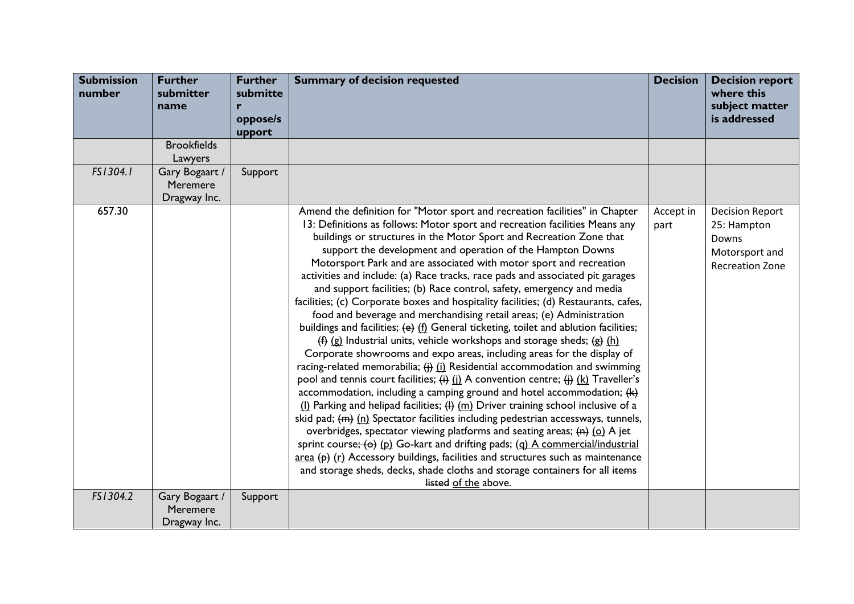| <b>Submission</b><br>number | <b>Further</b><br>submitter<br>name        | <b>Further</b><br>submitte<br>r | <b>Summary of decision requested</b>                                                                                                                                                                                                                                                                                                                                                                                                                                                                                                                                                                                                                                                                                                                                                                                                                                                                                                                                                                                                                                                                                                                                                                                                                                                                                                                                                                                                                                                                                                                                                                                                                                                                                                                                                                                              | <b>Decision</b>   | <b>Decision report</b><br>where this<br>subject matter                                     |
|-----------------------------|--------------------------------------------|---------------------------------|-----------------------------------------------------------------------------------------------------------------------------------------------------------------------------------------------------------------------------------------------------------------------------------------------------------------------------------------------------------------------------------------------------------------------------------------------------------------------------------------------------------------------------------------------------------------------------------------------------------------------------------------------------------------------------------------------------------------------------------------------------------------------------------------------------------------------------------------------------------------------------------------------------------------------------------------------------------------------------------------------------------------------------------------------------------------------------------------------------------------------------------------------------------------------------------------------------------------------------------------------------------------------------------------------------------------------------------------------------------------------------------------------------------------------------------------------------------------------------------------------------------------------------------------------------------------------------------------------------------------------------------------------------------------------------------------------------------------------------------------------------------------------------------------------------------------------------------|-------------------|--------------------------------------------------------------------------------------------|
|                             |                                            | oppose/s<br>upport              |                                                                                                                                                                                                                                                                                                                                                                                                                                                                                                                                                                                                                                                                                                                                                                                                                                                                                                                                                                                                                                                                                                                                                                                                                                                                                                                                                                                                                                                                                                                                                                                                                                                                                                                                                                                                                                   |                   | is addressed                                                                               |
|                             | <b>Brookfields</b><br>Lawyers              |                                 |                                                                                                                                                                                                                                                                                                                                                                                                                                                                                                                                                                                                                                                                                                                                                                                                                                                                                                                                                                                                                                                                                                                                                                                                                                                                                                                                                                                                                                                                                                                                                                                                                                                                                                                                                                                                                                   |                   |                                                                                            |
| FS1304.1                    | Gary Bogaart /<br>Meremere<br>Dragway Inc. | Support                         |                                                                                                                                                                                                                                                                                                                                                                                                                                                                                                                                                                                                                                                                                                                                                                                                                                                                                                                                                                                                                                                                                                                                                                                                                                                                                                                                                                                                                                                                                                                                                                                                                                                                                                                                                                                                                                   |                   |                                                                                            |
| 657.30                      |                                            |                                 | Amend the definition for "Motor sport and recreation facilities" in Chapter<br>13: Definitions as follows: Motor sport and recreation facilities Means any<br>buildings or structures in the Motor Sport and Recreation Zone that<br>support the development and operation of the Hampton Downs<br>Motorsport Park and are associated with motor sport and recreation<br>activities and include: (a) Race tracks, race pads and associated pit garages<br>and support facilities; (b) Race control, safety, emergency and media<br>facilities; (c) Corporate boxes and hospitality facilities; (d) Restaurants, cafes,<br>food and beverage and merchandising retail areas; (e) Administration<br>buildings and facilities; (e) (f) General ticketing, toilet and ablution facilities;<br>$(\frac{4}{3})$ (g) Industrial units, vehicle workshops and storage sheds; $(\frac{4}{3})$ (h)<br>Corporate showrooms and expo areas, including areas for the display of<br>racing-related memorabilia; $\frac{1}{2}$ (i) Residential accommodation and swimming<br>pool and tennis court facilities; $\overleftrightarrow{(i)}$ (i) A convention centre; $\overleftrightarrow{(i)}$ (k) Traveller's<br>accommodation, including a camping ground and hotel accommodation; $(h)$<br>$($  ) Parking and helipad facilities; $($  ) $(m)$ Driver training school inclusive of a<br>skid pad; $(m)$ (n) Spectator facilities including pedestrian accessways, tunnels,<br>overbridges, spectator viewing platforms and seating areas; (n) (o) A jet<br>sprint course; (o) (p) Go-kart and drifting pads; (q) A commercial/industrial<br>$\frac{area}{ }$ (e) (r) Accessory buildings, facilities and structures such as maintenance<br>and storage sheds, decks, shade cloths and storage containers for all items<br>listed of the above. | Accept in<br>part | <b>Decision Report</b><br>25: Hampton<br>Downs<br>Motorsport and<br><b>Recreation Zone</b> |
| FS1304.2                    | Gary Bogaart /<br>Meremere<br>Dragway Inc. | Support                         |                                                                                                                                                                                                                                                                                                                                                                                                                                                                                                                                                                                                                                                                                                                                                                                                                                                                                                                                                                                                                                                                                                                                                                                                                                                                                                                                                                                                                                                                                                                                                                                                                                                                                                                                                                                                                                   |                   |                                                                                            |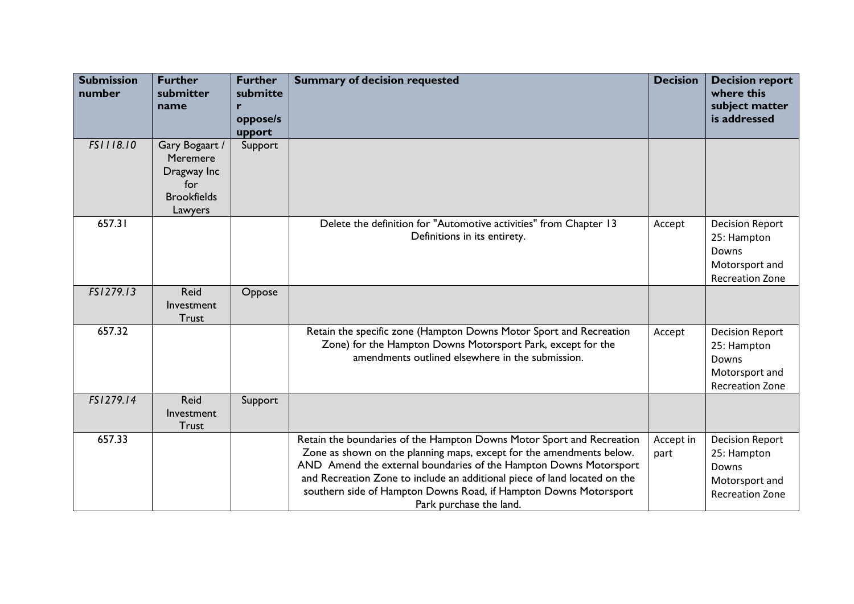| <b>Submission</b><br>number | <b>Further</b><br>submitter<br>name                                               | <b>Further</b><br>submitte<br>r<br>oppose/s<br>upport | <b>Summary of decision requested</b>                                                                                                                                                                                                                                                                                                                                                           | <b>Decision</b>   | <b>Decision report</b><br>where this<br>subject matter<br>is addressed                     |
|-----------------------------|-----------------------------------------------------------------------------------|-------------------------------------------------------|------------------------------------------------------------------------------------------------------------------------------------------------------------------------------------------------------------------------------------------------------------------------------------------------------------------------------------------------------------------------------------------------|-------------------|--------------------------------------------------------------------------------------------|
| FS1118.10                   | Gary Bogaart /<br>Meremere<br>Dragway Inc<br>for<br><b>Brookfields</b><br>Lawyers | Support                                               |                                                                                                                                                                                                                                                                                                                                                                                                |                   |                                                                                            |
| 657.31                      |                                                                                   |                                                       | Delete the definition for "Automotive activities" from Chapter 13<br>Definitions in its entirety.                                                                                                                                                                                                                                                                                              | Accept            | <b>Decision Report</b><br>25: Hampton<br>Downs<br>Motorsport and<br><b>Recreation Zone</b> |
| FS1279.13                   | Reid<br>Investment<br>Trust                                                       | Oppose                                                |                                                                                                                                                                                                                                                                                                                                                                                                |                   |                                                                                            |
| 657.32                      |                                                                                   |                                                       | Retain the specific zone (Hampton Downs Motor Sport and Recreation<br>Zone) for the Hampton Downs Motorsport Park, except for the<br>amendments outlined elsewhere in the submission.                                                                                                                                                                                                          | Accept            | <b>Decision Report</b><br>25: Hampton<br>Downs<br>Motorsport and<br><b>Recreation Zone</b> |
| FS1279.14                   | Reid<br>Investment<br>Trust                                                       | Support                                               |                                                                                                                                                                                                                                                                                                                                                                                                |                   |                                                                                            |
| 657.33                      |                                                                                   |                                                       | Retain the boundaries of the Hampton Downs Motor Sport and Recreation<br>Zone as shown on the planning maps, except for the amendments below.<br>AND Amend the external boundaries of the Hampton Downs Motorsport<br>and Recreation Zone to include an additional piece of land located on the<br>southern side of Hampton Downs Road, if Hampton Downs Motorsport<br>Park purchase the land. | Accept in<br>part | <b>Decision Report</b><br>25: Hampton<br>Downs<br>Motorsport and<br><b>Recreation Zone</b> |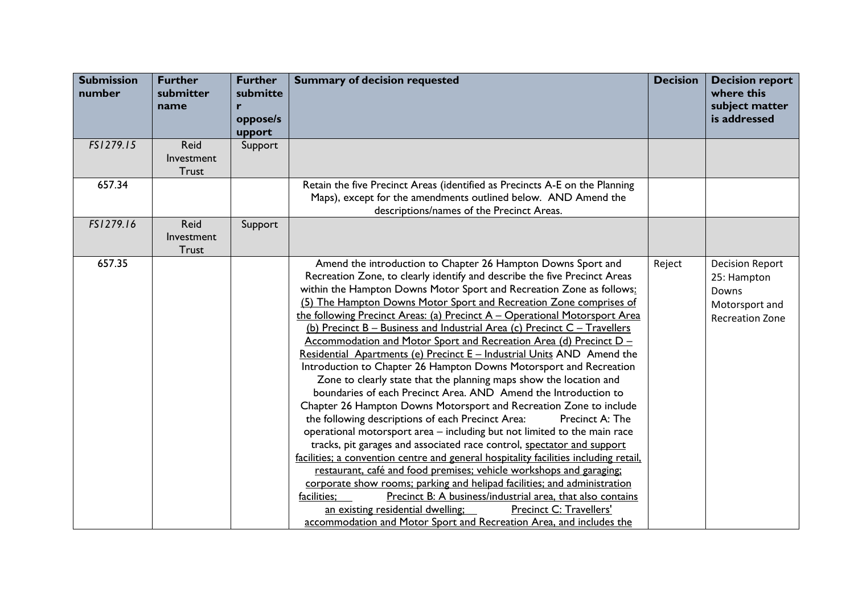| <b>Submission</b><br>number | <b>Further</b><br>submitter<br>name       | <b>Further</b><br>submitte<br>r<br>oppose/s<br>upport | <b>Summary of decision requested</b>                                                                                                                                                                                                                                                                                                                                                                                                                                                                                                                                                                                                                                                                                                                                                                                                                                                                                                                                                                                                                                                                                                                                                                                                                                                                                                                                                                                                                                                                                                                                                        | <b>Decision</b> | <b>Decision report</b><br>where this<br>subject matter<br>is addressed                     |
|-----------------------------|-------------------------------------------|-------------------------------------------------------|---------------------------------------------------------------------------------------------------------------------------------------------------------------------------------------------------------------------------------------------------------------------------------------------------------------------------------------------------------------------------------------------------------------------------------------------------------------------------------------------------------------------------------------------------------------------------------------------------------------------------------------------------------------------------------------------------------------------------------------------------------------------------------------------------------------------------------------------------------------------------------------------------------------------------------------------------------------------------------------------------------------------------------------------------------------------------------------------------------------------------------------------------------------------------------------------------------------------------------------------------------------------------------------------------------------------------------------------------------------------------------------------------------------------------------------------------------------------------------------------------------------------------------------------------------------------------------------------|-----------------|--------------------------------------------------------------------------------------------|
| FS1279.15                   | Reid<br>Investment<br>Trust               | Support                                               |                                                                                                                                                                                                                                                                                                                                                                                                                                                                                                                                                                                                                                                                                                                                                                                                                                                                                                                                                                                                                                                                                                                                                                                                                                                                                                                                                                                                                                                                                                                                                                                             |                 |                                                                                            |
| 657.34                      |                                           |                                                       | Retain the five Precinct Areas (identified as Precincts A-E on the Planning<br>Maps), except for the amendments outlined below. AND Amend the<br>descriptions/names of the Precinct Areas.                                                                                                                                                                                                                                                                                                                                                                                                                                                                                                                                                                                                                                                                                                                                                                                                                                                                                                                                                                                                                                                                                                                                                                                                                                                                                                                                                                                                  |                 |                                                                                            |
| FS1279.16                   | <b>Reid</b><br>Investment<br><b>Trust</b> | Support                                               |                                                                                                                                                                                                                                                                                                                                                                                                                                                                                                                                                                                                                                                                                                                                                                                                                                                                                                                                                                                                                                                                                                                                                                                                                                                                                                                                                                                                                                                                                                                                                                                             |                 |                                                                                            |
| 657.35                      |                                           |                                                       | Amend the introduction to Chapter 26 Hampton Downs Sport and<br>Recreation Zone, to clearly identify and describe the five Precinct Areas<br>within the Hampton Downs Motor Sport and Recreation Zone as follows:<br>(5) The Hampton Downs Motor Sport and Recreation Zone comprises of<br>the following Precinct Areas: (a) Precinct A - Operational Motorsport Area<br>(b) Precinct B - Business and Industrial Area (c) Precinct C - Travellers<br>Accommodation and Motor Sport and Recreation Area (d) Precinct D -<br>Residential Apartments (e) Precinct E - Industrial Units AND Amend the<br>Introduction to Chapter 26 Hampton Downs Motorsport and Recreation<br>Zone to clearly state that the planning maps show the location and<br>boundaries of each Precinct Area. AND Amend the Introduction to<br>Chapter 26 Hampton Downs Motorsport and Recreation Zone to include<br>the following descriptions of each Precinct Area:<br>Precinct A: The<br>operational motorsport area - including but not limited to the main race<br>tracks, pit garages and associated race control, spectator and support<br>facilities; a convention centre and general hospitality facilities including retail,<br>restaurant, café and food premises; vehicle workshops and garaging;<br>corporate show rooms; parking and helipad facilities; and administration<br>Precinct B: A business/industrial area, that also contains<br>facilities:<br>an existing residential dwelling;<br><b>Precinct C: Travellers'</b><br>accommodation and Motor Sport and Recreation Area, and includes the | Reject          | <b>Decision Report</b><br>25: Hampton<br>Downs<br>Motorsport and<br><b>Recreation Zone</b> |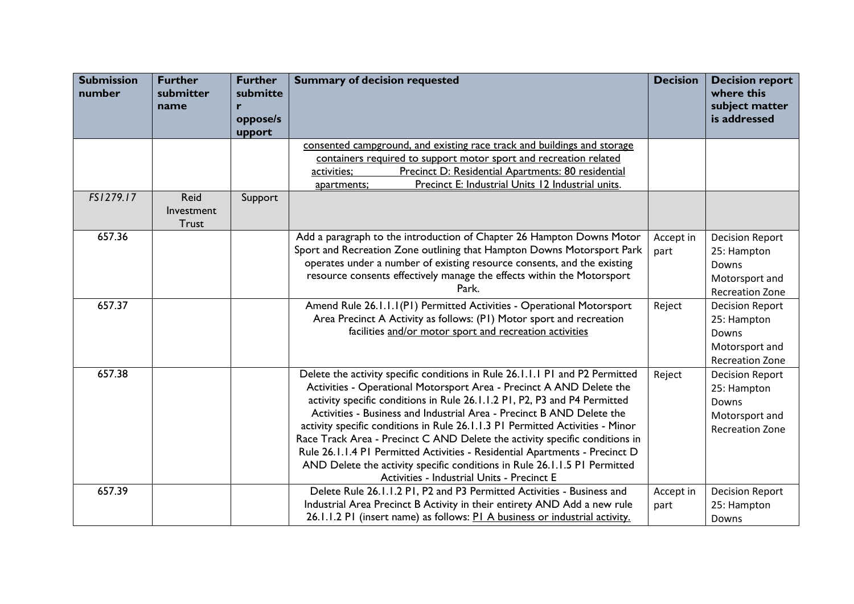| <b>Submission</b><br>number | <b>Further</b><br>submitter<br>name       | <b>Further</b><br>submitte<br>r<br>oppose/s<br>upport | <b>Summary of decision requested</b>                                                                                                                                                                                                                                                                                                                                                                                                                                                                                                                                                                                                                                                 | <b>Decision</b>   | <b>Decision report</b><br>where this<br>subject matter<br>is addressed                     |
|-----------------------------|-------------------------------------------|-------------------------------------------------------|--------------------------------------------------------------------------------------------------------------------------------------------------------------------------------------------------------------------------------------------------------------------------------------------------------------------------------------------------------------------------------------------------------------------------------------------------------------------------------------------------------------------------------------------------------------------------------------------------------------------------------------------------------------------------------------|-------------------|--------------------------------------------------------------------------------------------|
|                             |                                           |                                                       | consented campground, and existing race track and buildings and storage<br>containers required to support motor sport and recreation related<br>Precinct D: Residential Apartments: 80 residential<br>activities;<br>Precinct E: Industrial Units 12 Industrial units.<br>apartments;                                                                                                                                                                                                                                                                                                                                                                                                |                   |                                                                                            |
| FS1279.17                   | <b>Reid</b><br>Investment<br><b>Trust</b> | Support                                               |                                                                                                                                                                                                                                                                                                                                                                                                                                                                                                                                                                                                                                                                                      |                   |                                                                                            |
| 657.36                      |                                           |                                                       | Add a paragraph to the introduction of Chapter 26 Hampton Downs Motor<br>Sport and Recreation Zone outlining that Hampton Downs Motorsport Park<br>operates under a number of existing resource consents, and the existing<br>resource consents effectively manage the effects within the Motorsport<br>Park.                                                                                                                                                                                                                                                                                                                                                                        | Accept in<br>part | <b>Decision Report</b><br>25: Hampton<br>Downs<br>Motorsport and<br><b>Recreation Zone</b> |
| 657.37                      |                                           |                                                       | Amend Rule 26.1.1.1(P1) Permitted Activities - Operational Motorsport<br>Area Precinct A Activity as follows: (PI) Motor sport and recreation<br>facilities and/or motor sport and recreation activities                                                                                                                                                                                                                                                                                                                                                                                                                                                                             | Reject            | <b>Decision Report</b><br>25: Hampton<br>Downs<br>Motorsport and<br><b>Recreation Zone</b> |
| 657.38                      |                                           |                                                       | Delete the activity specific conditions in Rule 26.1.1.1 P1 and P2 Permitted<br>Activities - Operational Motorsport Area - Precinct A AND Delete the<br>activity specific conditions in Rule 26.1.1.2 P1, P2, P3 and P4 Permitted<br>Activities - Business and Industrial Area - Precinct B AND Delete the<br>activity specific conditions in Rule 26.1.1.3 P1 Permitted Activities - Minor<br>Race Track Area - Precinct C AND Delete the activity specific conditions in<br>Rule 26.1.1.4 P1 Permitted Activities - Residential Apartments - Precinct D<br>AND Delete the activity specific conditions in Rule 26.1.1.5 PI Permitted<br>Activities - Industrial Units - Precinct E | Reject            | <b>Decision Report</b><br>25: Hampton<br>Downs<br>Motorsport and<br><b>Recreation Zone</b> |
| 657.39                      |                                           |                                                       | Delete Rule 26.1.1.2 P1, P2 and P3 Permitted Activities - Business and<br>Industrial Area Precinct B Activity in their entirety AND Add a new rule<br>26.1.1.2 PI (insert name) as follows: PI A business or industrial activity.                                                                                                                                                                                                                                                                                                                                                                                                                                                    | Accept in<br>part | <b>Decision Report</b><br>25: Hampton<br>Downs                                             |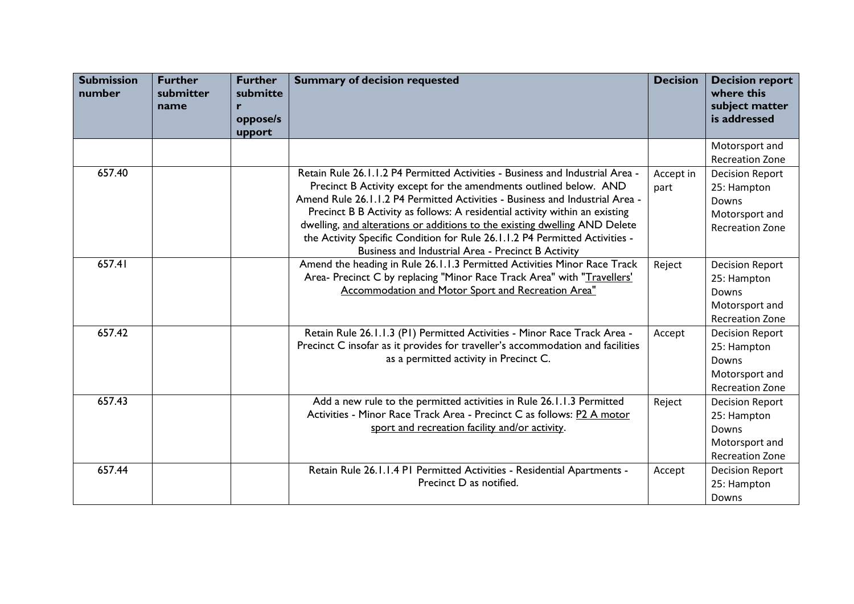| <b>Submission</b><br>number | <b>Further</b><br>submitter<br>name | <b>Further</b><br>submitte<br>r<br>oppose/s<br>upport | <b>Summary of decision requested</b>                                                                                                                                                                                                                                                                                                                                                                                                                                                                                                 | <b>Decision</b>   | <b>Decision report</b><br>where this<br>subject matter<br>is addressed                     |
|-----------------------------|-------------------------------------|-------------------------------------------------------|--------------------------------------------------------------------------------------------------------------------------------------------------------------------------------------------------------------------------------------------------------------------------------------------------------------------------------------------------------------------------------------------------------------------------------------------------------------------------------------------------------------------------------------|-------------------|--------------------------------------------------------------------------------------------|
|                             |                                     |                                                       |                                                                                                                                                                                                                                                                                                                                                                                                                                                                                                                                      |                   | Motorsport and<br><b>Recreation Zone</b>                                                   |
| 657.40                      |                                     |                                                       | Retain Rule 26.1.1.2 P4 Permitted Activities - Business and Industrial Area -<br>Precinct B Activity except for the amendments outlined below. AND<br>Amend Rule 26.1.1.2 P4 Permitted Activities - Business and Industrial Area -<br>Precinct B B Activity as follows: A residential activity within an existing<br>dwelling, and alterations or additions to the existing dwelling AND Delete<br>the Activity Specific Condition for Rule 26.1.1.2 P4 Permitted Activities -<br>Business and Industrial Area - Precinct B Activity | Accept in<br>part | <b>Decision Report</b><br>25: Hampton<br>Downs<br>Motorsport and<br><b>Recreation Zone</b> |
| 657.41                      |                                     |                                                       | Amend the heading in Rule 26.1.1.3 Permitted Activities Minor Race Track<br>Area- Precinct C by replacing "Minor Race Track Area" with "Travellers'<br>Accommodation and Motor Sport and Recreation Area"                                                                                                                                                                                                                                                                                                                            | Reject            | <b>Decision Report</b><br>25: Hampton<br>Downs<br>Motorsport and<br><b>Recreation Zone</b> |
| 657.42                      |                                     |                                                       | Retain Rule 26.1.1.3 (P1) Permitted Activities - Minor Race Track Area -<br>Precinct C insofar as it provides for traveller's accommodation and facilities<br>as a permitted activity in Precinct C.                                                                                                                                                                                                                                                                                                                                 | Accept            | <b>Decision Report</b><br>25: Hampton<br>Downs<br>Motorsport and<br><b>Recreation Zone</b> |
| 657.43                      |                                     |                                                       | Add a new rule to the permitted activities in Rule 26.1.1.3 Permitted<br>Activities - Minor Race Track Area - Precinct C as follows: P2 A motor<br>sport and recreation facility and/or activity.                                                                                                                                                                                                                                                                                                                                    | Reject            | <b>Decision Report</b><br>25: Hampton<br>Downs<br>Motorsport and<br><b>Recreation Zone</b> |
| 657.44                      |                                     |                                                       | Retain Rule 26.1.1.4 PI Permitted Activities - Residential Apartments -<br>Precinct D as notified.                                                                                                                                                                                                                                                                                                                                                                                                                                   | Accept            | <b>Decision Report</b><br>25: Hampton<br>Downs                                             |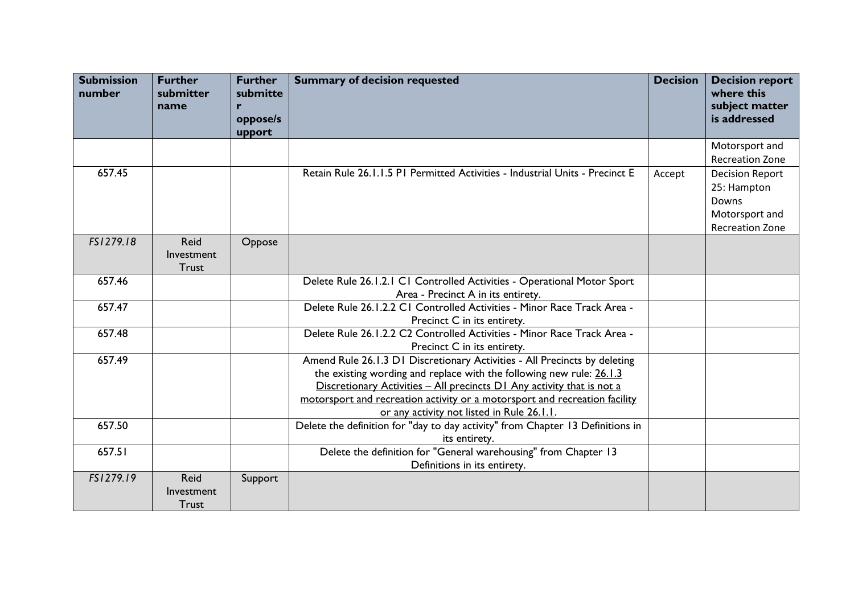| <b>Submission</b><br>number | <b>Further</b><br>submitter<br>name | <b>Further</b><br>submitte<br>r<br>oppose/s<br>upport | <b>Summary of decision requested</b>                                                                                                                                                                                                                                                                                                                      | <b>Decision</b> | <b>Decision report</b><br>where this<br>subject matter<br>is addressed                     |
|-----------------------------|-------------------------------------|-------------------------------------------------------|-----------------------------------------------------------------------------------------------------------------------------------------------------------------------------------------------------------------------------------------------------------------------------------------------------------------------------------------------------------|-----------------|--------------------------------------------------------------------------------------------|
|                             |                                     |                                                       |                                                                                                                                                                                                                                                                                                                                                           |                 | Motorsport and<br><b>Recreation Zone</b>                                                   |
| 657.45                      |                                     |                                                       | Retain Rule 26.1.1.5 PI Permitted Activities - Industrial Units - Precinct E                                                                                                                                                                                                                                                                              | Accept          | <b>Decision Report</b><br>25: Hampton<br>Downs<br>Motorsport and<br><b>Recreation Zone</b> |
| FS1279.18                   | Reid<br>Investment<br><b>Trust</b>  | Oppose                                                |                                                                                                                                                                                                                                                                                                                                                           |                 |                                                                                            |
| 657.46                      |                                     |                                                       | Delete Rule 26.1.2.1 C1 Controlled Activities - Operational Motor Sport<br>Area - Precinct A in its entirety.                                                                                                                                                                                                                                             |                 |                                                                                            |
| 657.47                      |                                     |                                                       | Delete Rule 26.1.2.2 C1 Controlled Activities - Minor Race Track Area -<br>Precinct C in its entirety.                                                                                                                                                                                                                                                    |                 |                                                                                            |
| 657.48                      |                                     |                                                       | Delete Rule 26.1.2.2 C2 Controlled Activities - Minor Race Track Area -<br>Precinct C in its entirety.                                                                                                                                                                                                                                                    |                 |                                                                                            |
| 657.49                      |                                     |                                                       | Amend Rule 26.1.3 D1 Discretionary Activities - All Precincts by deleting<br>the existing wording and replace with the following new rule: $26.1.3$<br>Discretionary Activities - All precincts D1 Any activity that is not a<br>motorsport and recreation activity or a motorsport and recreation facility<br>or any activity not listed in Rule 26.1.1. |                 |                                                                                            |
| 657.50                      |                                     |                                                       | Delete the definition for "day to day activity" from Chapter 13 Definitions in<br>its entirety.                                                                                                                                                                                                                                                           |                 |                                                                                            |
| 657.51                      |                                     |                                                       | Delete the definition for "General warehousing" from Chapter 13<br>Definitions in its entirety.                                                                                                                                                                                                                                                           |                 |                                                                                            |
| FS1279.19                   | <b>Reid</b><br>Investment<br>Trust  | Support                                               |                                                                                                                                                                                                                                                                                                                                                           |                 |                                                                                            |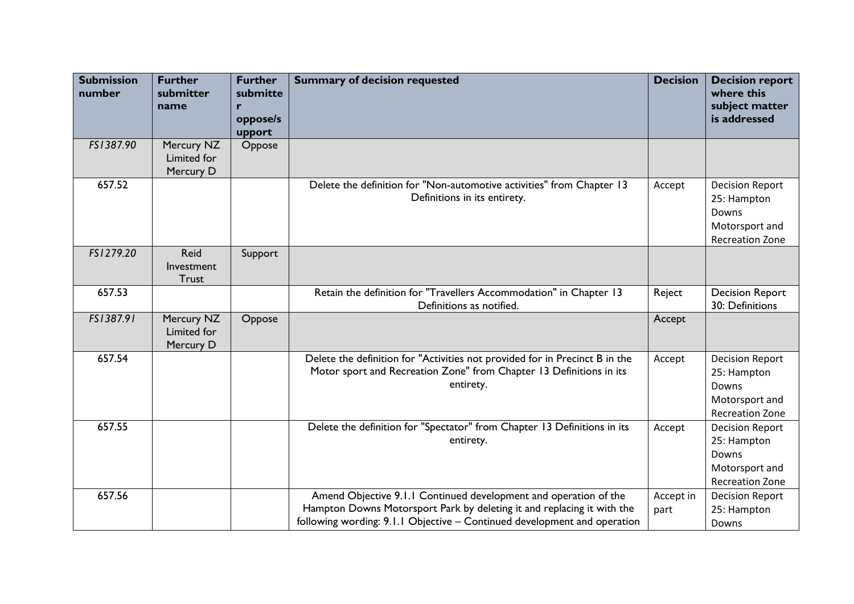| <b>Submission</b><br>number | <b>Further</b><br>submitter<br>name    | <b>Further</b><br>submitte<br>r<br>oppose/s<br>upport | <b>Summary of decision requested</b>                                                                                                                                                                                   | <b>Decision</b>   | <b>Decision report</b><br>where this<br>subject matter<br>is addressed                     |
|-----------------------------|----------------------------------------|-------------------------------------------------------|------------------------------------------------------------------------------------------------------------------------------------------------------------------------------------------------------------------------|-------------------|--------------------------------------------------------------------------------------------|
| FS1387.90                   | Mercury NZ<br>Limited for<br>Mercury D | Oppose                                                |                                                                                                                                                                                                                        |                   |                                                                                            |
| 657.52                      |                                        |                                                       | Delete the definition for "Non-automotive activities" from Chapter 13<br>Definitions in its entirety.                                                                                                                  | Accept            | <b>Decision Report</b><br>25: Hampton<br>Downs<br>Motorsport and<br><b>Recreation Zone</b> |
| FS1279.20                   | Reid<br>Investment<br><b>Trust</b>     | Support                                               |                                                                                                                                                                                                                        |                   |                                                                                            |
| 657.53                      |                                        |                                                       | Retain the definition for "Travellers Accommodation" in Chapter 13<br>Definitions as notified.                                                                                                                         | Reject            | <b>Decision Report</b><br>30: Definitions                                                  |
| FS1387.91                   | Mercury NZ<br>Limited for<br>Mercury D | Oppose                                                |                                                                                                                                                                                                                        | Accept            |                                                                                            |
| 657.54                      |                                        |                                                       | Delete the definition for "Activities not provided for in Precinct B in the<br>Motor sport and Recreation Zone" from Chapter 13 Definitions in its<br>entirety.                                                        | Accept            | <b>Decision Report</b><br>25: Hampton<br>Downs<br>Motorsport and<br><b>Recreation Zone</b> |
| 657.55                      |                                        |                                                       | Delete the definition for "Spectator" from Chapter 13 Definitions in its<br>entirety.                                                                                                                                  | Accept            | <b>Decision Report</b><br>25: Hampton<br>Downs<br>Motorsport and<br><b>Recreation Zone</b> |
| 657.56                      |                                        |                                                       | Amend Objective 9.1.1 Continued development and operation of the<br>Hampton Downs Motorsport Park by deleting it and replacing it with the<br>following wording: 9.1.1 Objective - Continued development and operation | Accept in<br>part | <b>Decision Report</b><br>25: Hampton<br>Downs                                             |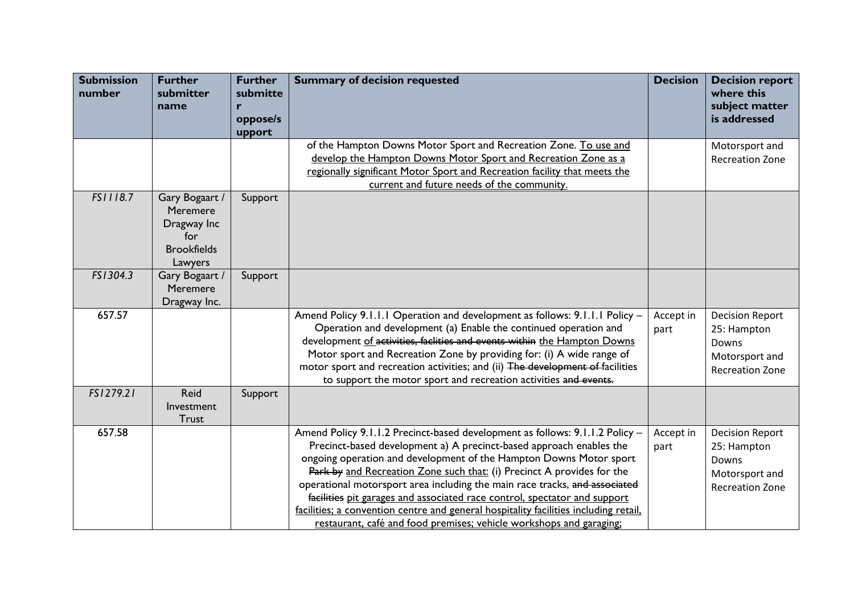| <b>Submission</b><br>number | <b>Further</b><br>submitter<br>name                                               | <b>Further</b><br>submitte<br>r<br>oppose/s | <b>Summary of decision requested</b>                                                                                                                                                                                                                                                                                                                                                                                                                                                                                                                                                                                          | <b>Decision</b>   | <b>Decision report</b><br>where this<br>subject matter<br>is addressed                     |
|-----------------------------|-----------------------------------------------------------------------------------|---------------------------------------------|-------------------------------------------------------------------------------------------------------------------------------------------------------------------------------------------------------------------------------------------------------------------------------------------------------------------------------------------------------------------------------------------------------------------------------------------------------------------------------------------------------------------------------------------------------------------------------------------------------------------------------|-------------------|--------------------------------------------------------------------------------------------|
|                             |                                                                                   | upport                                      |                                                                                                                                                                                                                                                                                                                                                                                                                                                                                                                                                                                                                               |                   |                                                                                            |
|                             |                                                                                   |                                             | of the Hampton Downs Motor Sport and Recreation Zone. To use and<br>develop the Hampton Downs Motor Sport and Recreation Zone as a                                                                                                                                                                                                                                                                                                                                                                                                                                                                                            |                   | Motorsport and<br><b>Recreation Zone</b>                                                   |
|                             |                                                                                   |                                             | regionally significant Motor Sport and Recreation facility that meets the                                                                                                                                                                                                                                                                                                                                                                                                                                                                                                                                                     |                   |                                                                                            |
|                             |                                                                                   |                                             | current and future needs of the community.                                                                                                                                                                                                                                                                                                                                                                                                                                                                                                                                                                                    |                   |                                                                                            |
| FS1118.7                    | Gary Bogaart /<br>Meremere<br>Dragway Inc<br>for<br><b>Brookfields</b><br>Lawyers | Support                                     |                                                                                                                                                                                                                                                                                                                                                                                                                                                                                                                                                                                                                               |                   |                                                                                            |
| FS1304.3                    | Gary Bogaart /<br>Meremere<br>Dragway Inc.                                        | Support                                     |                                                                                                                                                                                                                                                                                                                                                                                                                                                                                                                                                                                                                               |                   |                                                                                            |
| 657.57                      |                                                                                   |                                             | Amend Policy 9.1.1.1 Operation and development as follows: 9.1.1.1 Policy -<br>Operation and development (a) Enable the continued operation and<br>development of activities, faclities and events within the Hampton Downs<br>Motor sport and Recreation Zone by providing for: (i) A wide range of<br>motor sport and recreation activities; and (ii) The development of facilities<br>to support the motor sport and recreation activities and events.                                                                                                                                                                     | Accept in<br>part | <b>Decision Report</b><br>25: Hampton<br>Downs<br>Motorsport and<br><b>Recreation Zone</b> |
| FS1279.21                   | <b>Reid</b><br>Investment<br><b>Trust</b>                                         | Support                                     |                                                                                                                                                                                                                                                                                                                                                                                                                                                                                                                                                                                                                               |                   |                                                                                            |
| 657.58                      |                                                                                   |                                             | Amend Policy 9.1.1.2 Precinct-based development as follows: 9.1.1.2 Policy -<br>Precinct-based development a) A precinct-based approach enables the<br>ongoing operation and development of the Hampton Downs Motor sport<br>Park by and Recreation Zone such that: (i) Precinct A provides for the<br>operational motorsport area including the main race tracks, and associated<br>facilities pit garages and associated race control, spectator and support<br>facilities; a convention centre and general hospitality facilities including retail,<br>restaurant, café and food premises; vehicle workshops and garaging; | Accept in<br>part | <b>Decision Report</b><br>25: Hampton<br>Downs<br>Motorsport and<br><b>Recreation Zone</b> |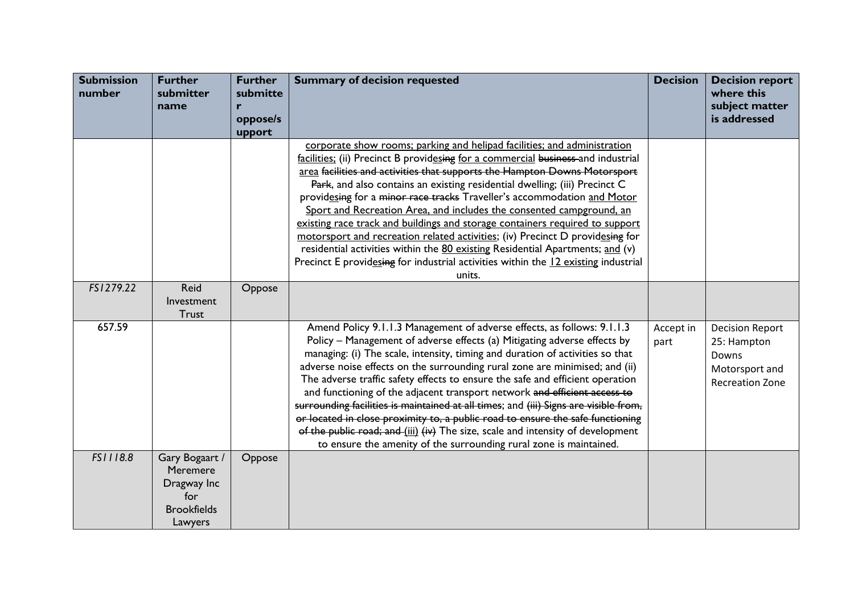| <b>Submission</b><br>number | <b>Further</b><br>submitter<br>name                                               | <b>Further</b><br>submitte<br>r<br>oppose/s<br>upport | <b>Summary of decision requested</b>                                                                                                                                                                                                                                                                                                                                                                                                                                                                                                                                                                                                                                                                                                                                                                                         | <b>Decision</b>   | <b>Decision report</b><br>where this<br>subject matter<br>is addressed                     |
|-----------------------------|-----------------------------------------------------------------------------------|-------------------------------------------------------|------------------------------------------------------------------------------------------------------------------------------------------------------------------------------------------------------------------------------------------------------------------------------------------------------------------------------------------------------------------------------------------------------------------------------------------------------------------------------------------------------------------------------------------------------------------------------------------------------------------------------------------------------------------------------------------------------------------------------------------------------------------------------------------------------------------------------|-------------------|--------------------------------------------------------------------------------------------|
|                             |                                                                                   |                                                       | corporate show rooms; parking and helipad facilities; and administration<br>facilities; (ii) Precinct B providesing for a commercial business-and industrial<br>area facilities and activities that supports the Hampton Downs Motorsport<br>Park, and also contains an existing residential dwelling; (iii) Precinct C<br>providesing for a minor race tracks Traveller's accommodation and Motor<br>Sport and Recreation Area, and includes the consented campground, an<br>existing race track and buildings and storage containers required to support<br>motorsport and recreation related activities; (iv) Precinct D providesing for<br>residential activities within the 80 existing Residential Apartments; and (v)<br>Precinct E providesing for industrial activities within the 12 existing industrial<br>units. |                   |                                                                                            |
| FS1279.22                   | Reid<br>Investment<br><b>Trust</b>                                                | Oppose                                                |                                                                                                                                                                                                                                                                                                                                                                                                                                                                                                                                                                                                                                                                                                                                                                                                                              |                   |                                                                                            |
| 657.59                      |                                                                                   |                                                       | Amend Policy 9.1.1.3 Management of adverse effects, as follows: 9.1.1.3<br>Policy - Management of adverse effects (a) Mitigating adverse effects by<br>managing: (i) The scale, intensity, timing and duration of activities so that<br>adverse noise effects on the surrounding rural zone are minimised; and (ii)<br>The adverse traffic safety effects to ensure the safe and efficient operation<br>and functioning of the adjacent transport network and efficient access to<br>surrounding facilities is maintained at all times; and (iii) Signs are visible from,<br>or located in close proximity to, a public road to ensure the safe functioning<br>of the public road; and (iii) (iv) The size, scale and intensity of development<br>to ensure the amenity of the surrounding rural zone is maintained.         | Accept in<br>part | <b>Decision Report</b><br>25: Hampton<br>Downs<br>Motorsport and<br><b>Recreation Zone</b> |
| FS1118.8                    | Gary Bogaart /<br>Meremere<br>Dragway Inc<br>for<br><b>Brookfields</b><br>Lawyers | Oppose                                                |                                                                                                                                                                                                                                                                                                                                                                                                                                                                                                                                                                                                                                                                                                                                                                                                                              |                   |                                                                                            |